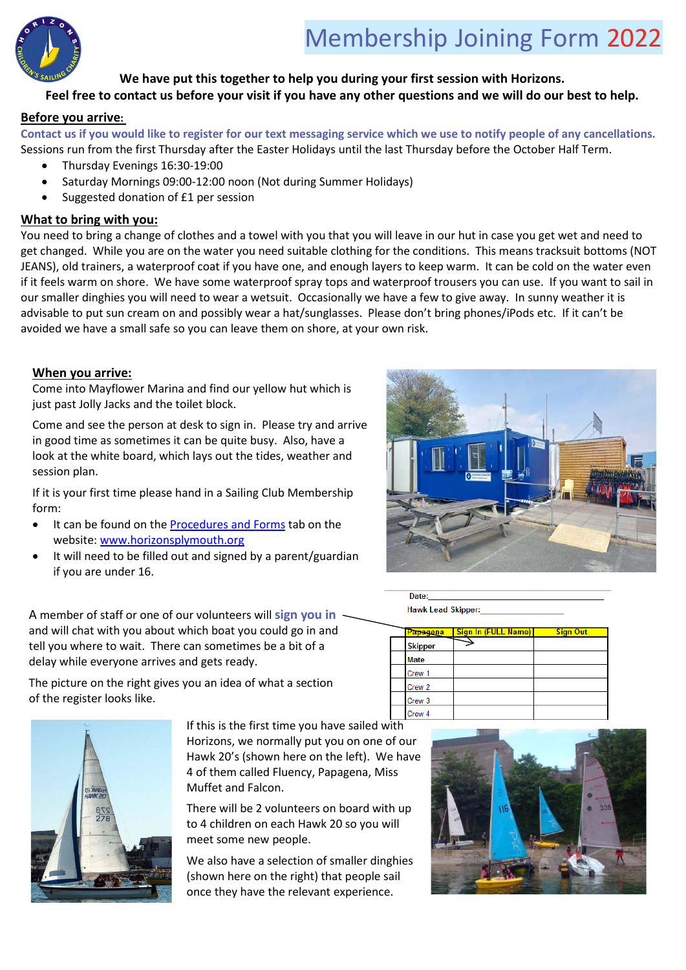

# **We have put this together to help you during your first session with Horizons.**

# **Feel free to contact us before your visit if you have any other questions and we will do our best to help.**

#### **Before you arrive:**

**Contact us if you would like to register for our text messaging service which we use to notify people of any cancellations.** Sessions run from the first Thursday after the Easter Holidays until the last Thursday before the October Half Term.

- Thursday Evenings 16:30-19:00
- Saturday Mornings 09:00-12:00 noon (Not during Summer Holidays)
- Suggested donation of £1 per session

#### **What to bring with you:**

You need to bring a change of clothes and a towel with you that you will leave in our hut in case you get wet and need to get changed. While you are on the water you need suitable clothing for the conditions. This means tracksuit bottoms (NOT JEANS), old trainers, a waterproof coat if you have one, and enough layers to keep warm. It can be cold on the water even if it feels warm on shore. We have some waterproof spray tops and waterproof trousers you can use. If you want to sail in our smaller dinghies you will need to wear a wetsuit. Occasionally we have a few to give away. In sunny weather it is advisable to put sun cream on and possibly wear a hat/sunglasses. Please don't bring phones/iPods etc. If it can't be avoided we have a small safe so you can leave them on shore, at your own risk.

#### **When you arrive:**

Come into Mayflower Marina and find our yellow hut which is just past Jolly Jacks and the toilet block.

Come and see the person at desk to sign in. Please try and arrive in good time as sometimes it can be quite busy. Also, have a look at the white board, which lays out the tides, weather and session plan.

If it is your first time please hand in a Sailing Club Membership form:

- It can be found on th[e Procedures and Forms](http://horizonsplymouth.org/?page_id=55) tab on the website: [www.horizonsplymouth.org](http://www.horizonsplymouth.org/)
- It will need to be filled out and signed by a parent/guardian if you are under 16.

A member of staff or one of our volunteers will **sign you in** and will chat with you about which boat you could go in and tell you where to wait. There can sometimes be a bit of a delay while everyone arrives and gets ready.

The picture on the right gives you an idea of what a section of the register looks like.



If this is the first time you have sailed with Horizons, we normally put you on one of our Hawk 20's (shown here on the left). We have 4 of them called Fluency, Papagena, Miss Muffet and Falcon.

There will be 2 volunteers on board with up to 4 children on each Hawk 20 so you will meet some new people.

We also have a selection of smaller dinghies (shown here on the right) that people sail once they have the relevant experience.



Date:

**Hawk Lead Skipper:** 

| Papagena          | <b>Sign In (FULL Name)</b> | <b>Sign Out</b> |
|-------------------|----------------------------|-----------------|
| <b>Skipper</b>    |                            |                 |
| <b>Mate</b>       |                            |                 |
| Crew 1            |                            |                 |
| Crew 2            |                            |                 |
| Crew <sub>3</sub> |                            |                 |
| Crew <sub>4</sub> |                            |                 |